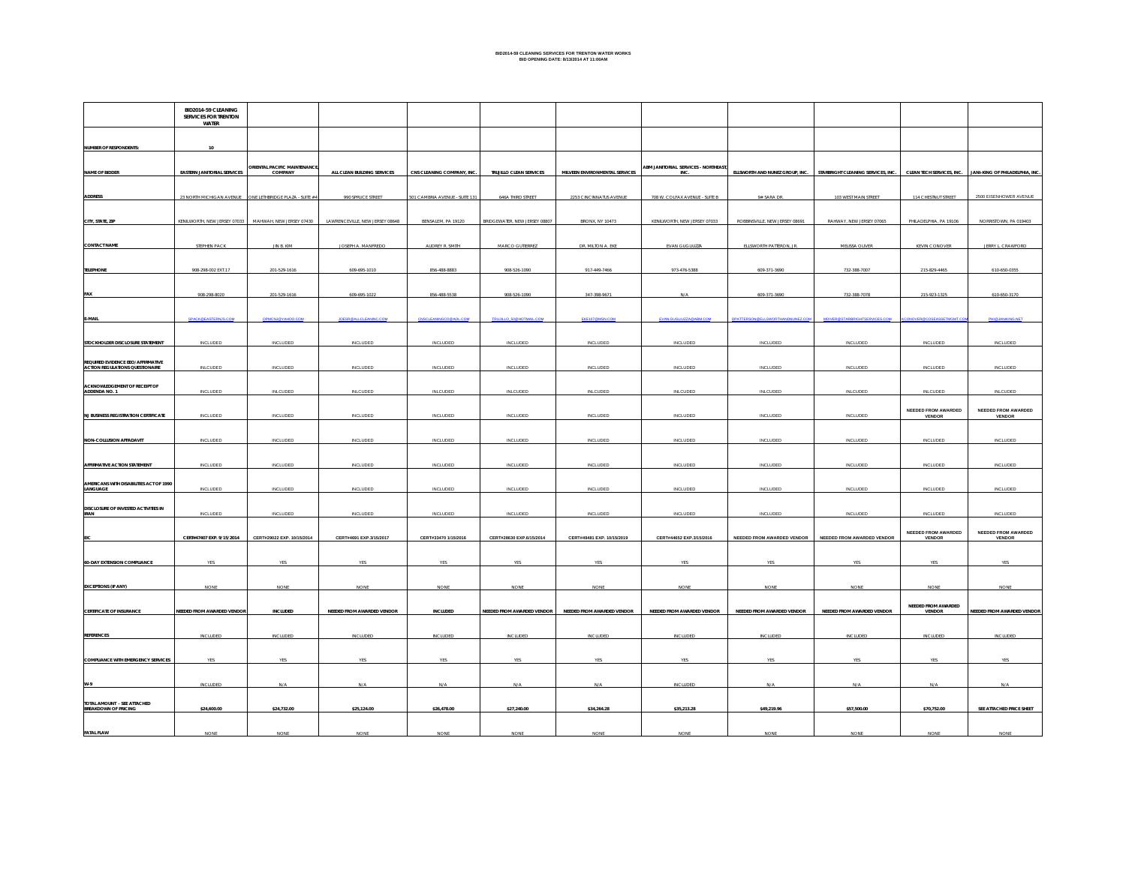|                                                                      | BID2014-59 CLEANING<br>SERVICES FOR TRENTON<br>WATER  |                                 |                                 |                                |                               |                                |                                     |                                 |                                    |                                             |                                             |
|----------------------------------------------------------------------|-------------------------------------------------------|---------------------------------|---------------------------------|--------------------------------|-------------------------------|--------------------------------|-------------------------------------|---------------------------------|------------------------------------|---------------------------------------------|---------------------------------------------|
| NUMBER OF RESPONDENTS:                                               | 10                                                    |                                 |                                 |                                |                               |                                |                                     |                                 |                                    |                                             |                                             |
| NAME OF BIDDER                                                       | <b>EASTERN JANITORIAL SERVICES</b>                    | ORIENTAL PACIFIC MAINTENANCE,   | ALL CLEAN BUILDING SERVICES     | CNS CLEANING COMPANY, INC.     | TRUJILLO CLEAN SERVICES       | MILVEEN ENVIRONMENTAL SERVICES | ABM JANITORIAL SERVICES - NORTHEAST | ELLSWORTH AND NUNEZ GROUP, INC. | STARBRIGHT CLEANING SERVICES, INC. | CLEAN TECH SERVICES, INC.                   | JANI-KING OF PHILADELPHIA, INC.             |
| <b>ADDRESS</b>                                                       | 23 NORTH MICHIGAN AVENUE                              | ONE LETHBRIDGE PLAZA - SUITE #4 | 990 SPRUCE STREET               | 501 CAMBRIA AVENUE - SUITE 131 | 646A THIRD STREET             | 2253 CINCINNATUS AVENUE        | 708 W. COLFAX AVENUE - SUITE B      | 9# SARA DR.                     | 103 WEST MAIN STREET               | 114 CHESTNUT STREET                         | 2500 EISENHOWER AVENUE                      |
| CITY, STATE, ZIP                                                     | KENILWORTH, NEW JERSEY 07033 MAHWAH, NEW JERSEY 07430 |                                 | LAWRENCEVILLE, NEW JERSEY 08648 | BENSALEM, PA 19120             | BRIDGEWATER, NEW JERSEY 08807 | BRONX, NY 10473                | KENILWORTH, NEW JERSEY 07033        | ROBBINSVILLE, NEW JERSEY 08691  | RAHWAY, NEW JERSEY 07065           | PHILADELPHIA, PA 19106                      | NORRISTOWN, PA 019403                       |
| <b>CONTACT NAME</b>                                                  | STEPHEN PACK                                          | JIN B. KIM                      | JOSEPH A. MANFREDO              | AUDREY R. SMITH                | MARCO GUTIERREZ               | DR. MILTON A. EKE              | EVAN GUGLIUZZA                      | ELLSWORTH PATTERON, JR.         | MELISSA OLIVER                     | KEVIN CONOVER                               | JERRY L. CRAWFORD                           |
| <b>TELEPHONE</b>                                                     | 908-298-002 EXT.17                                    | 201-529-1616                    | 609-695-1010                    | 856-488-8883                   | 908-526-1090                  | 917-449-7466                   | 973-476-5388                        | 609-371-3690                    | 732-388-7007                       | 215-829-4465                                | 610-650-0355                                |
| FAX                                                                  | 908-298-8020                                          | 201-529-1616                    | 609-695-1022                    | 856-488-5538                   | 908-526-1090                  | 347-398-9671                   | N/A                                 | 609-371-3690                    | 732-388-7078                       | 215-923-1325                                | 610-650-3170                                |
| E-MAIL                                                               | PACK OF AST                                           |                                 | <b>FSROALICI FANINO</b>         |                                |                               |                                |                                     |                                 |                                    |                                             | <b>HIGHANKING NE</b>                        |
| STOCKHOLDER DISCLOSURE STATEMENT                                     | INCLUDED                                              | INCLUDED                        | INCLUDED                        | INCLUDED                       | INCLUDED                      | <b>INCLUDED</b>                | INCLUDED                            | INCLUDED                        | INCLUDED                           | INCLUDED                                    | INCLUDED                                    |
| REQUIRED EVIDENCE EEO/AFFIRMATIVE<br>ACTION REGULATIONS QUESTIONAIRE | <b>INLCUDED</b>                                       | INCLUDED                        | INCLUDED                        | INCLUDED                       | INCLUDED                      | INCLUDED                       | INCLUDED                            | INCLUDED                        | INCLUDED                           | INCLUDED                                    | INCLUDED                                    |
| ACKNOWLEDGEMENT OF RECEIPT OF<br>ADDENDA NO. 1                       | INCLUDED                                              | INLCUDED                        | INLCUDED                        | INLCUDED                       | INLCUDED                      | <b>INLCUDED</b>                | INLCUDED                            | INLCUDED                        | <b>INLCUDED</b>                    | INLCUDED                                    | <b>INLCUDED</b>                             |
| <b>NJ BUSINESS REGISTRATION CERTIFICATE</b>                          | INCLUDED                                              | INCLUDED                        | INCLUDED                        | INCLUDED                       | INCLUDED                      | <b>INCLUDED</b>                | INCLUDED                            | INCLUDED                        | INCLUDED                           | <b>NEEDED FROM AWARDED</b><br><b>VENDOR</b> | <b>NEEDED FROM AWARDED</b><br><b>VENDOR</b> |
| <b>NON-COLLUSION AFFADAVIT</b>                                       | INCLUDED                                              | INCLUDED                        | INCLUDED                        | INCLUDED                       | INCLUDED                      | <b>INCLUDED</b>                | INCLUDED                            | INCLUDED                        | INCLUDED                           | INCLUDED                                    | <b>INCLUDED</b>                             |
| AFFIRMATIVE ACTION STATEMENT                                         | INCLUDED                                              | INCLUDED                        | INCLUDED                        | INCLUDED                       | INCLUDED                      | INCLUDED                       | INCLUDED                            | INCLUDED                        | INCLUDED                           | INCLUDED                                    | INCLUDED                                    |
| AMERICANS WITH DISABILITIES ACT OF 1990<br>LANGUAGE                  | INCLUDED                                              | <b>INCLUDED</b>                 | INCLUDED                        | INCLUDED                       | INCLUDED                      | <b>INCLUDED</b>                | INCLUDED                            | INCLUDED                        | INCLUDED                           | INCLUDED                                    | INCLUDED                                    |
| DISCLOSURE OF INVESTED ACTIVITIES IN                                 | INCLUDED                                              | INCLUDED                        | INCLUDED                        | INCLUDED                       | <b>INCLUDED</b>               | <b>INCLUDED</b>                | INCLUDED                            | INCLUDED                        | INCLUDED                           | INCLUDED                                    | INCLUDED                                    |
|                                                                      | CERT#47407 EXP. 9/15/2014                             | CERT#29022 EXP. 10/15/2014      | CERT#4691 EXP.3/15/2017         | CERT#33470 1/15/2016           | CERT#28630 EXP.6/15/2014      | CERT#49481 EXP. 10/15/2019     | CERT#44652 EXP.3/15/2016            | NEEDED FROM AWARDED VENDOR      | NEEDED FROM AWARDED VENDOR         | <b>NEEDED FROM AWARDED</b><br><b>VENDOR</b> | <b>NEEDED FROM AWARDED</b><br><b>VENDOR</b> |
| 60-DAY EXTENSION COMPLIANCE                                          | YES                                                   | YES                             | YES                             | YES                            | YES                           | YES                            | YES                                 | YES                             | YES                                | YES                                         | YES                                         |
| <b>EXCEPTIONS (IF ANY)</b>                                           | NONE                                                  | NONE                            | <b>NONE</b>                     | <b>NONE</b>                    | <b>NONE</b>                   | NONE                           | <b>NONE</b>                         | NONE                            | <b>NONE</b>                        | NONE                                        | <b>NONE</b>                                 |
| <b>CERTIFICATE OF INSURANCE</b>                                      | NEEDED FROM AWARDED VENDOR                            | INCLUDED                        | NEEDED FROM AWARDED VENDOR      | INCLUDED                       | NEEDED FROM AWARDED VENDOR    | NEEDED FROM AWARDED VENDOR     | NEEDED FROM AWARDED VENDOR          | NEEDED FROM AWARDED VENDOR      | NEEDED FROM AWARDED VENDOR         | NEEDED FROM AWARDED<br>VENDOR               | NEEDED FROM AWARDED VENDOR                  |
| <b>REFERENCES</b>                                                    | INCLUDED                                              | <b>INCLUDED</b>                 | <b>INCLUDED</b>                 | INCLUDED                       | INCLUDED                      | INCLUDED                       | INCLUDED                            | INCLUDED                        | <b>INCLUDED</b>                    | INCLUDED                                    | INCLUDED                                    |
| <b>COMPLIANCE WITH EMERGENCY SERVICES</b>                            | YFS                                                   | YES                             | YES                             | YES                            | YFS                           | <b>YES</b>                     | YES                                 | YES                             | YES                                | YFS                                         | YES                                         |
|                                                                      | INCLUDED                                              | N/A                             | N/A                             | N/A                            | N/A                           | $N/\Delta$                     | INCLUDED                            | N/A                             | N/A                                | N/A                                         | N/A                                         |
| TOTAL AMOUNT - SEE ATTACHED<br>BREAKDOWN OF PRICING                  | \$24,600.00                                           | \$24,732.00                     | \$25,124.00                     | \$26,478.00                    | \$27,240.00                   | \$34,264.28                    | \$35,213.28                         | \$49,219.96                     | \$57,500.00                        | \$70,752.00                                 | SEE ATTACHED PRICE SHEET                    |
| <b>FATAL FLAW</b>                                                    | NONE                                                  | <b>NONE</b>                     | NONE                            | <b>NONE</b>                    | <b>NONE</b>                   | <b>NONE</b>                    | <b>NONE</b>                         | NONE                            | <b>NONE</b>                        | NONE                                        | <b>NONE</b>                                 |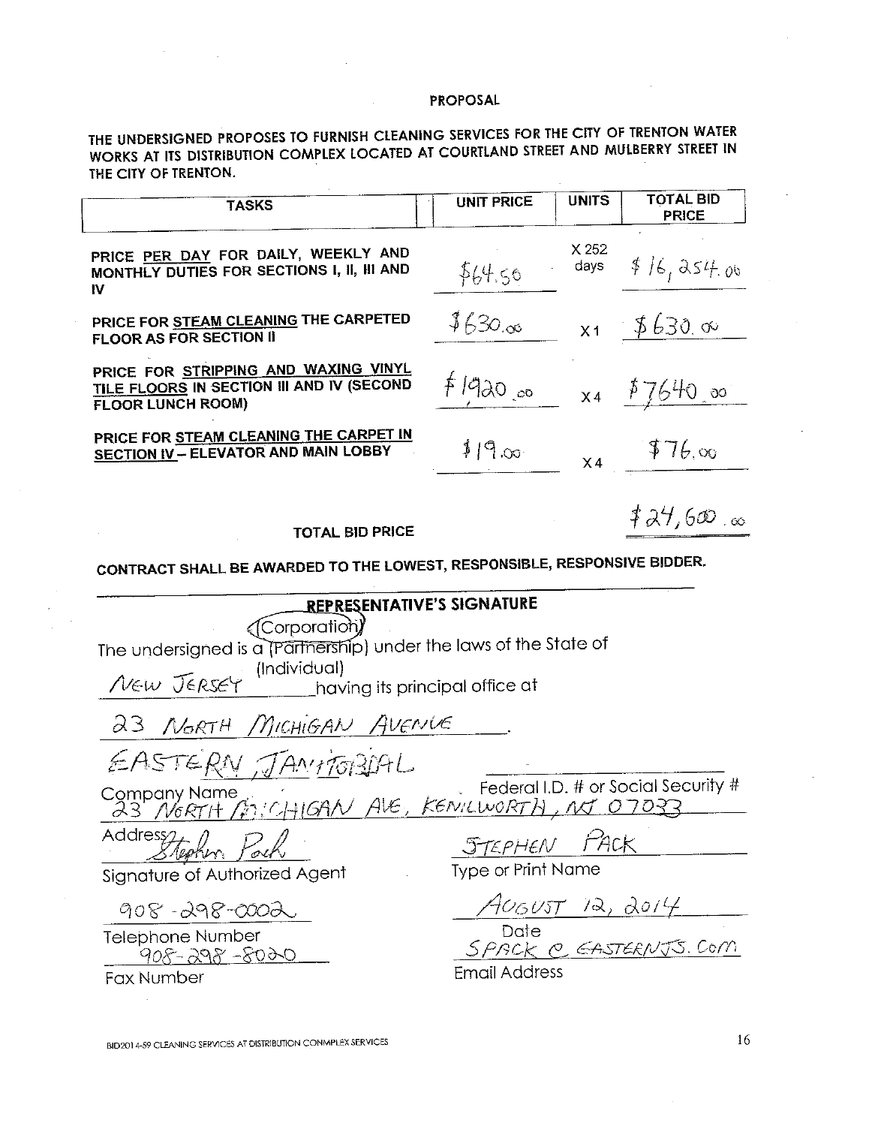THE UNDERSIGNED PROPOSES TO FURNISH CLEANING SERVICES FOR THE CITY OF TRENTON WATER WORKS AT ITS DISTRIBUTION COMPLEX LOCATED AT COURTLAND STREET AND MULBERRY STREET IN THE CITY OF TRENTON.

| TASKS                                                                                                         | <b>UNIT PRICE</b> | <b>UNITS</b> | <b>TOTAL BID</b><br><b>PRICE</b> |
|---------------------------------------------------------------------------------------------------------------|-------------------|--------------|----------------------------------|
| PRICE PER DAY FOR DAILY, WEEKLY AND<br>MONTHLY DUTIES FOR SECTIONS I, II, III AND<br>1V                       | \$64.50           | X252<br>days | \$16,954.06                      |
| PRICE FOR STEAM CLEANING THE CARPETED<br><b>FLOOR AS FOR SECTION II</b>                                       | 1630.00           |              | $x_1$ \$630.00                   |
| PRICE FOR STRIPPING AND WAXING VINYL<br>TILE FLOORS IN SECTION III AND IV (SECOND<br><b>FLOOR LUNCH ROOM)</b> | f192000           |              | $x_4$ \$7640 00                  |
| PRICE FOR STEAM CLEANING THE CARPET IN<br><b>SECTION IV - ELEVATOR AND MAIN LOBBY</b>                         | 119.00            |              | $x_4$ \$76,00                    |
|                                                                                                               |                   |              |                                  |

**TOTAL BID PRICE** 

 $724,600$ 

CONTRACT SHALL BE AWARDED TO THE LOWEST, RESPONSIBLE, RESPONSIVE BIDDER.

|                                                                         | REPRESENTATIVE'S SIGNATURE                                          |  |  |  |  |  |  |
|-------------------------------------------------------------------------|---------------------------------------------------------------------|--|--|--|--|--|--|
|                                                                         | «(Corporation)                                                      |  |  |  |  |  |  |
| The undersigned is a (Partnership) under the laws of the State of       |                                                                     |  |  |  |  |  |  |
| <i>New Jersey</i> (Individual)<br><u>having</u> its principal office at |                                                                     |  |  |  |  |  |  |
|                                                                         |                                                                     |  |  |  |  |  |  |
| 23 NORTH MICHIGAN AVENUE                                                |                                                                     |  |  |  |  |  |  |
| EASTERN JAMITORIAL                                                      |                                                                     |  |  |  |  |  |  |
|                                                                         | Company Name<br>23 <i>N6RTH (2010)</i> Heter Kews Lworth , NT 07033 |  |  |  |  |  |  |
|                                                                         |                                                                     |  |  |  |  |  |  |
| Address techn Pock                                                      | STEPHEN PACK                                                        |  |  |  |  |  |  |
| Signature of Authorized Agent                                           | <b>Type or Print Name</b>                                           |  |  |  |  |  |  |
| $908 - 298 - 0002$                                                      | $A$ 060ST 12, 2014                                                  |  |  |  |  |  |  |
| <b>Telephone Number</b>                                                 | Date                                                                |  |  |  |  |  |  |
| $908 - 298 - 8020$                                                      | SPACK P. EASTERNJS. COM                                             |  |  |  |  |  |  |

Email Address

Fax Number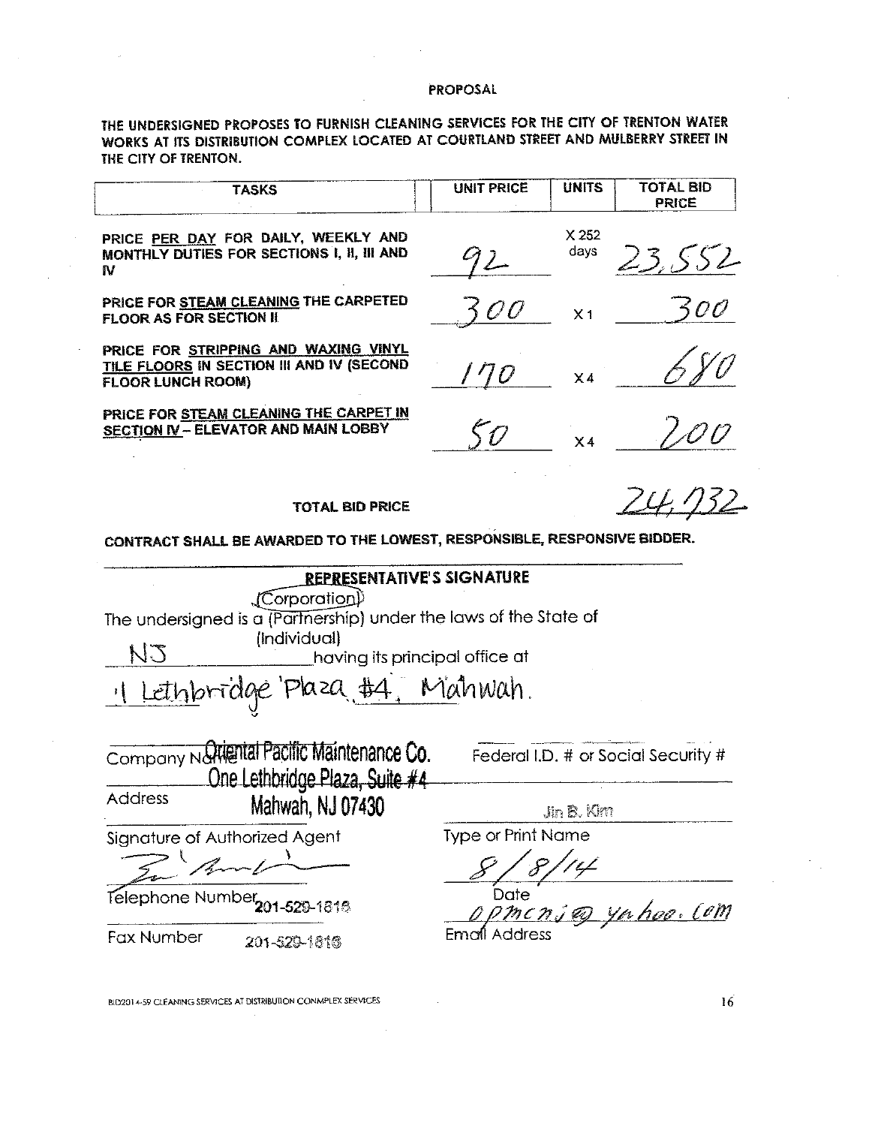THE UNDERSIGNED PROPOSES TO FURNISH CLEANING SERVICES FOR THE CITY OF TRENTON WATER WORKS AT ITS DISTRIBUTION COMPLEX LOCATED AT COURTLAND STREET AND MULBERRY STREET IN THE CITY OF TRENTON.

| <b>TASKS</b>                                                                                                                                                                      | <b>UNIT PRICE</b>         | <b>UNITS</b>   | <b>TOTAL BID</b><br><b>PRICE</b>    |  |  |
|-----------------------------------------------------------------------------------------------------------------------------------------------------------------------------------|---------------------------|----------------|-------------------------------------|--|--|
| PRICE PER DAY FOR DAILY, WEEKLY AND<br>MONTHLY DUTIES FOR SECTIONS I, II, III AND<br>N                                                                                            | $72-$                     | X 252<br>days  | 23.552                              |  |  |
| PRICE FOR STEAM CLEANING THE CARPETED<br><b>FLOOR AS FOR SECTION II</b>                                                                                                           | 500                       | X <sub>1</sub> | 500                                 |  |  |
| PRICE FOR STRIPPING AND WAXING VINYL<br>TILE FLOORS IN SECTION III AND IV (SECOND<br><b>FLOOR LUNCH ROOM)</b>                                                                     | 170                       | $\times 4$     |                                     |  |  |
| PRICE FOR STEAM CLEANING THE CARPET IN<br><b>SECTION IV - ELEVATOR AND MAIN LOBBY</b>                                                                                             | 5 O                       | X4             |                                     |  |  |
| <b>TOTAL BID PRICE</b>                                                                                                                                                            |                           |                | 732                                 |  |  |
| CONTRACT SHALL BE AWARDED TO THE LOWEST, RESPONSIBLE, RESPONSIVE BIDDER.                                                                                                          |                           |                |                                     |  |  |
| REPRESENTATIVE'S SIGNATURE<br>(Corporatio <u>n</u> )<br>The undersigned is a (Partnership) under the laws of the State of<br>(Individual)<br>EN<br>having its principal office at |                           |                |                                     |  |  |
| Lethbridge Plaza #4, Mahwah.                                                                                                                                                      |                           |                |                                     |  |  |
| Company National Pacific Maintenance Co.<br>One Lethbridge Plaza, Suite #4                                                                                                        |                           |                | Federal I.D. # or Social Security # |  |  |
| <b>Address</b><br>Mahwah, NJ 07430                                                                                                                                                |                           | Jin B. Kim     |                                     |  |  |
| Signature of Authorized Agent                                                                                                                                                     | <b>Type or Print Name</b> |                |                                     |  |  |
| Telephone Number<br>$-529 - 1818$                                                                                                                                                 | Date                      |                | <u>yn hoo, Com</u>                  |  |  |
| <b>Fax Number</b><br>201-520-1816                                                                                                                                                 | Email Address             |                |                                     |  |  |

 $\sim$ 

BID2014-59 CLEANING SERVICES AT DISTRIBUTION CONMPLEX SERVICES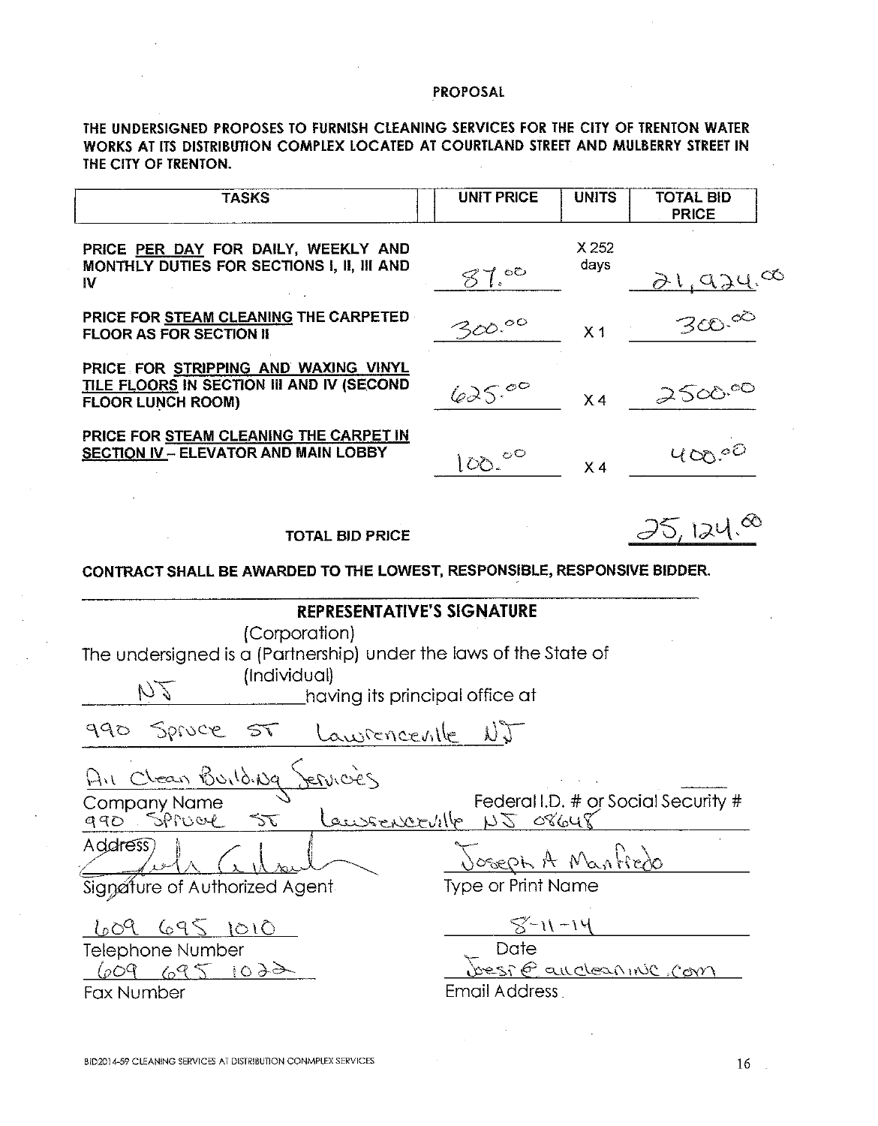THE UNDERSIGNED PROPOSES TO FURNISH CLEANING SERVICES FOR THE CITY OF TRENTON WATER WORKS AT ITS DISTRIBUTION COMPLEX LOCATED AT COURTLAND STREET AND MULBERRY STREET IN THE CITY OF TRENTON.

| <b>TASKS</b>                                                                                                                                                                                                     | <b>UNIT PRICE</b>                                                     | <b>UNITS</b>   | <b>TOTAL BID</b><br><b>PRICE</b>    |
|------------------------------------------------------------------------------------------------------------------------------------------------------------------------------------------------------------------|-----------------------------------------------------------------------|----------------|-------------------------------------|
| PRICE PER DAY FOR DAILY, WEEKLY AND<br>MONTHLY DUTIES FOR SECTIONS I, II, III AND<br>IV                                                                                                                          | 87.00                                                                 | X 252<br>days  |                                     |
| PRICE FOR STEAM CLEANING THE CARPETED<br><b>FLOOR AS FOR SECTION II</b>                                                                                                                                          | 300.00                                                                | X <sub>1</sub> | 21,924.00                           |
| PRICE FOR STRIPPING AND WAXING VINYL<br>TILE FLOORS IN SECTION III AND IV (SECOND<br><b>FLOOR LUNCH ROOM)</b>                                                                                                    | 625.00                                                                | X <sub>4</sub> | 2500.00                             |
| PRICE FOR STEAM CLEANING THE CARPET IN<br><b>SECTION IV - ELEVATOR AND MAIN LOBBY</b>                                                                                                                            | 100.00                                                                | X <sub>4</sub> | 400,00                              |
| <b>TOTAL BID PRICE</b>                                                                                                                                                                                           |                                                                       |                | 25,124.88                           |
| CONTRACT SHALL BE AWARDED TO THE LOWEST, RESPONSIBLE, RESPONSIVE BIDDER.                                                                                                                                         |                                                                       |                |                                     |
| <b>REPRESENTATIVE'S SIGNATURE</b><br>(Corporation)<br>The undersigned is a (Partnership) under the laws of the State of<br>(Individual)<br>DZ<br>having its principal office at<br>990 Spruce ST<br>Lawrencentle | $\bigcup \bigcup$                                                     |                |                                     |
| Air Clean Building<br><u>Jervicies</u><br>Company Name<br>Lawsenceville<br>$\sum_{i=1}^{\infty}$<br>990 SPruce<br>Address)<br>Signature of Authorized Agent                                                      | 150000<br>Joseph A Nanfiedo<br><b>Type or Print Name</b>              |                | Federal I.D. # or Social Security # |
| 609 695 1010<br><b>Telephone Number</b><br>609 695 1022<br><b>Fax Number</b>                                                                                                                                     | $8 - 11 - 14$<br>Date<br><u>bespe auctoannul com</u><br>Email Address |                |                                     |
|                                                                                                                                                                                                                  |                                                                       |                |                                     |

 $\sim$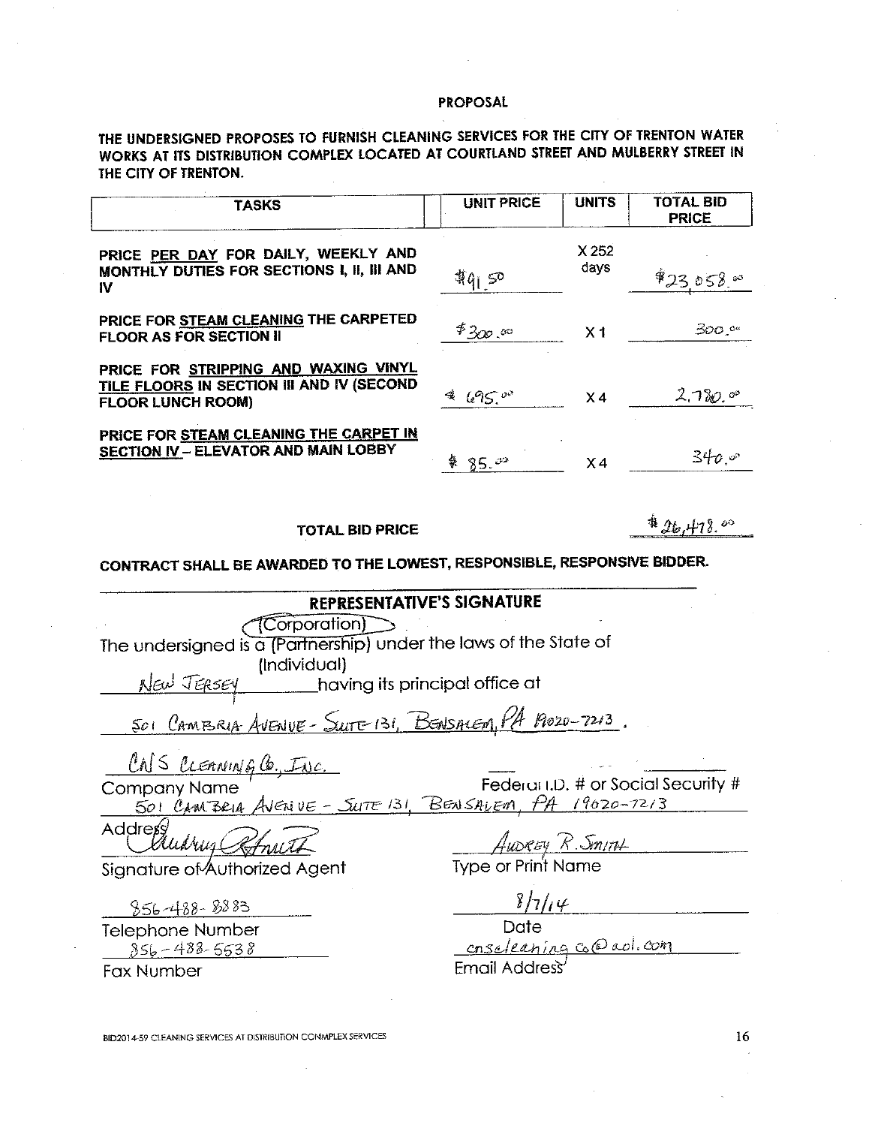THE UNDERSIGNED PROPOSES TO FURNISH CLEANING SERVICES FOR THE CITY OF TRENTON WATER WORKS AT ITS DISTRIBUTION COMPLEX LOCATED AT COURTLAND STREET AND MULBERRY STREET IN THE CITY OF TRENTON.

| <b>TASKS</b>                                                                                                  | <b>UNIT PRICE</b> | <b>UNITS</b>   | <b>TOTAL BID</b><br><b>PRICE</b> |
|---------------------------------------------------------------------------------------------------------------|-------------------|----------------|----------------------------------|
| PRICE PER DAY FOR DAILY, WEEKLY AND<br>MONTHLY DUTIES FOR SECTIONS I, II, III AND<br>IV                       | 49150             | X252<br>days   | $$23.058$ $^{\circ}$             |
| PRICE FOR STEAM CLEANING THE CARPETED<br><b>FLOOR AS FOR SECTION II</b>                                       | $*_{300}$ or      | X <sub>1</sub> | 300.°°                           |
| PRICE FOR STRIPPING AND WAXING VINYL<br>TILE FLOORS IN SECTION III AND IV (SECOND<br><b>FLOOR LUNCH ROOM)</b> | $695$ or          | X <sub>4</sub> | 2.780.09                         |
| PRICE FOR STEAM CLEANING THE CARPET IN<br><b>SECTION IV - ELEVATOR AND MAIN LOBBY</b>                         | 85.00             | X 4            | 340e                             |

**TOTAL BID PRICE** 

 $426.478.00$ 

CONTRACT SHALL BE AWARDED TO THE LOWEST, RESPONSIBLE, RESPONSIVE BIDDER.

# REPRESENTATIVE'S SIGNATURE

 $\sqrt{\text{Corporation}}$ 

The undersigned is a (Partnership) under the laws of the State of (Individual)

New JERSEY having its principal office at

SOI CAMBRIA AVENUE - SUITE 131, BENSALEM, PA 19020-7213.

CNS CLEANING CO., INC.

Federal I.D. # or Social Security # **Company Name**  $A$ VENUE - SUTTE 131, BENSALEM, PA 19020-7213 501 CAMBRIA

Address

Signature of Authorized Agent

856-488-8883

**Telephone Number**  $856 - 488 - 5538$ 

**Fax Number** 

Aupray R. Smith

**Type or Print Name** 

 $8/7/14$ 

 $\overline{Date}$ Date<br><u>cnsoleaning</u> core ad.com

**Email Address** 

BID2014-59 CLEANING SERVICES AT DISTRIBUTION CONMPLEX SERVICES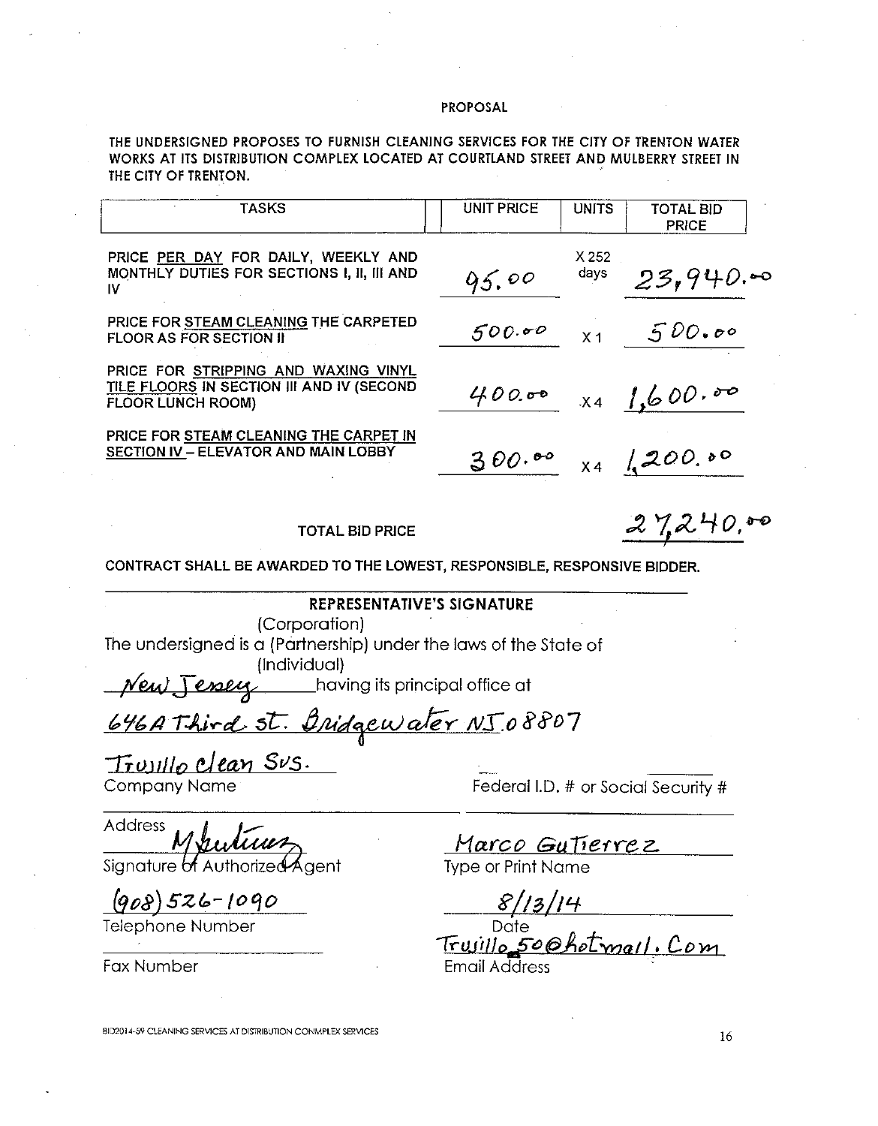THE UNDERSIGNED PROPOSES TO FURNISH CLEANING SERVICES FOR THE CITY OF TRENTON WATER WORKS AT ITS DISTRIBUTION COMPLEX LOCATED AT COURTLAND STREET AND MULBERRY STREET IN THE CITY OF TRENTON.

| <b>TASKS</b>                                                                                                  | <b>UNIT PRICE</b> | <b>UNITS</b>   | <b>TOTAL BID</b><br><b>PRICE</b> |
|---------------------------------------------------------------------------------------------------------------|-------------------|----------------|----------------------------------|
| PRICE PER DAY FOR DAILY, WEEKLY AND<br>MONTHLY DUTIES FOR SECTIONS I, II, III AND<br>ΙV                       | 95.00             | X 252<br>days  | 23,940.00                        |
| PRICE FOR STEAM CLEANING THE CARPETED<br><b>FLOOR AS FOR SECTION II</b>                                       | 500.00            | X <sub>1</sub> | 500.00                           |
| PRICE FOR STRIPPING AND WAXING VINYL<br>TILE FLOORS IN SECTION III AND IV (SECOND<br><b>FLOOR LUNCH ROOM)</b> | 400.00            |                | $X4 \int_{0}^{1}600.80$          |
| PRICE FOR STEAM CLEANING THE CARPET IN<br>SECTION IV - ELEVATOR AND MAIN LOBBY                                | 300.00            |                | $X4$ 1,200.00                    |

**TOTAL BID PRICE** 

 $27240.00$ 

CONTRACT SHALL BE AWARDED TO THE LOWEST, RESPONSIBLE, RESPONSIVE BIDDER.

# **REPRESENTATIVE'S SIGNATURE**

(Corporation)

The undersigned is a (Partnership) under the laws of the State of (Individual)

New Jessey having its principal office at

646 A Third St. Bridgewater NJ 08807

Trussillo Clean Sus. **Company Name** 

Address

Signature of Authorized Agent

 $(908)526 - 1090$ 

**Telephone Number** 

**Fax Number** 

Federal I.D. # or Social Security #

Marco Gutierrez **Type or Print Name** 

 $\frac{8/13/14}{\frac{\text{Date}}{\text{True}}\text{Date}}$ Trujillo 50 Ohotmail. Com

BID2014-59 CLEANING SERVICES AT DISTRIBUTION CONMPLEX SERVICES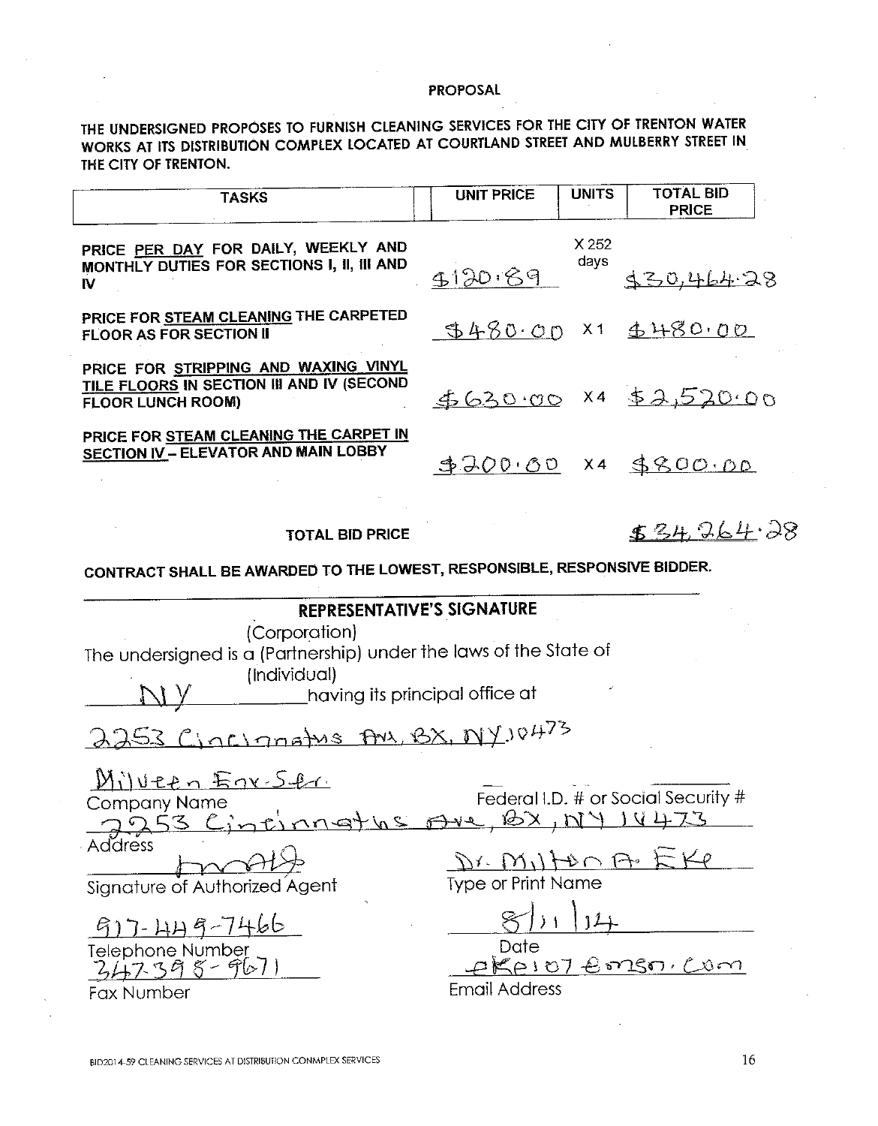THE UNDERSIGNED PROPOSES TO FURNISH CLEANING SERVICES FOR THE CITY OF TRENTON WATER WORKS AT ITS DISTRIBUTION COMPLEX LOCATED AT COURTLAND STREET AND MULBERRY STREET IN THE CITY OF TRENTON.

| <b>TASKS</b>                                                                                                                                                              | <b>UNIT PRICE</b>                                                               | <b>UNITS</b>  | <b>TOTAL BID</b><br><b>PRICE</b>    |  |  |  |  |
|---------------------------------------------------------------------------------------------------------------------------------------------------------------------------|---------------------------------------------------------------------------------|---------------|-------------------------------------|--|--|--|--|
| PRICE PER DAY FOR DAILY, WEEKLY AND<br>MONTHLY DUTIES FOR SECTIONS I, II, III AND<br>IV                                                                                   | \$120.89                                                                        | X 252<br>days | 130,464.28                          |  |  |  |  |
| PRICE FOR STEAM CLEANING THE CARPETED<br><b>FLOOR AS FOR SECTION II</b>                                                                                                   |                                                                                 |               | 9480.00 x1 4480.00                  |  |  |  |  |
| PRICE FOR STRIPPING AND WAXING VINYL<br>TILE FLOORS IN SECTION III AND IV (SECOND<br><b>FLOOR LUNCH ROOM)</b>                                                             |                                                                                 |               | $62000$ x4 \$2,520.00               |  |  |  |  |
| PRICE FOR STEAM CLEANING THE CARPET IN<br><b>SECTION IV - ELEVATOR AND MAIN LOBBY</b>                                                                                     |                                                                                 |               | \$200.00 x4 \$800.00                |  |  |  |  |
| <b>TOTAL BID PRICE</b>                                                                                                                                                    |                                                                                 |               | 534,264.28                          |  |  |  |  |
| CONTRACT SHALL BE AWARDED TO THE LOWEST, RESPONSIBLE, RESPONSIVE BIDDER.                                                                                                  |                                                                                 |               |                                     |  |  |  |  |
| <b>REPRESENTATIVE'S SIGNATURE</b><br>(Corporation)<br>The undersigned is a (Partnership) under the laws of the State of<br>(Individual)<br>having its principal office at |                                                                                 |               |                                     |  |  |  |  |
| 2253 Cincinnatus Ans, BX, NY, 10473                                                                                                                                       |                                                                                 |               |                                     |  |  |  |  |
| Milveen Egr Str<br>Company Name<br><b>Address</b><br>Signature of Authorized Agent                                                                                        | nnoths Are BX, NY 14473<br>$D$ r. $M/L$ p $\cap$ F<br><b>Type or Print Name</b> |               | Federal I.D. # or Social Security # |  |  |  |  |
| $57 - 1149$<br>Telephone Number<br>2,4,7, 3,9, 8 - 967)<br>Fax Number                                                                                                     | Date<br><b>Email Address</b>                                                    |               | <u>eKeiot Emsor Com</u>             |  |  |  |  |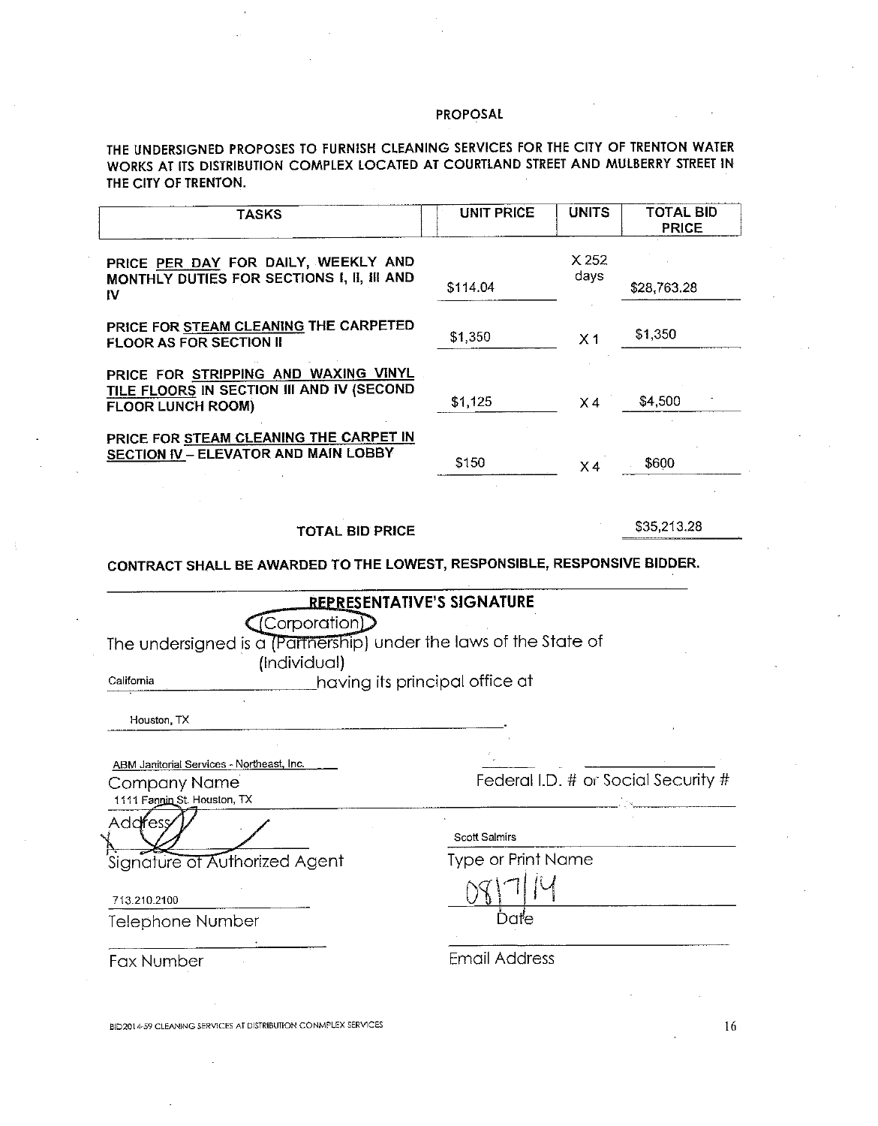THE UNDERSIGNED PROPOSES TO FURNISH CLEANING SERVICES FOR THE CITY OF TRENTON WATER WORKS AT ITS DISTRIBUTION COMPLEX LOCATED AT COURTLAND STREET AND MULBERRY STREET IN THE CITY OF TRENTON.

| <b>TASKS</b>                                                                                                                                     | <b>UNIT PRICE</b>         | <b>UNITS</b>   | <b>TOTAL BID</b><br><b>PRICE</b>    |
|--------------------------------------------------------------------------------------------------------------------------------------------------|---------------------------|----------------|-------------------------------------|
| PRICE PER DAY FOR DAILY, WEEKLY AND                                                                                                              |                           | X252           |                                     |
| MONTHLY DUTIES FOR SECTIONS I, II, III AND<br>IV                                                                                                 | \$114.04                  | days           | \$28,763.28                         |
| PRICE FOR STEAM CLEANING THE CARPETED<br><b>FLOOR AS FOR SECTION II</b>                                                                          | \$1,350                   | X <sub>1</sub> | \$1,350                             |
| PRICE FOR STRIPPING AND WAXING VINYL<br>TILE FLOORS IN SECTION III AND IV (SECOND<br><b>FLOOR LUNCH ROOM)</b>                                    | \$1,125                   | X4             | \$4,500                             |
| PRICE FOR STEAM CLEANING THE CARPET IN<br>SECTION IV - ELEVATOR AND MAIN LOBBY                                                                   | \$150                     | X4             | \$600                               |
| <b>TOTAL BID PRICE</b><br>CONTRACT SHALL BE AWARDED TO THE LOWEST, RESPONSIBLE, RESPONSIVE BIDDER.                                               |                           |                | \$35,213.28                         |
| Corporation<br>The undersigned is a (Partnership) under the laws of the State of<br>(Individual)<br>having its principal office at<br>California |                           |                |                                     |
| Houston, TX                                                                                                                                      |                           |                |                                     |
| ABM Janitorial Services - Northeast, Inc.<br><b>Company Name</b><br>1111 Fannin St. Houston, TX                                                  |                           |                | Federal I.D. # or Social Security # |
| Addifess                                                                                                                                         | <b>Scott Salmirs</b>      |                |                                     |
| Signature of Authorized Agent                                                                                                                    | <b>Type or Print Name</b> |                |                                     |
| 713.210.2100                                                                                                                                     |                           |                |                                     |
| Telephone Number                                                                                                                                 | Date                      |                |                                     |
| Fax Number                                                                                                                                       | <b>Email Address</b>      |                |                                     |
|                                                                                                                                                  |                           |                |                                     |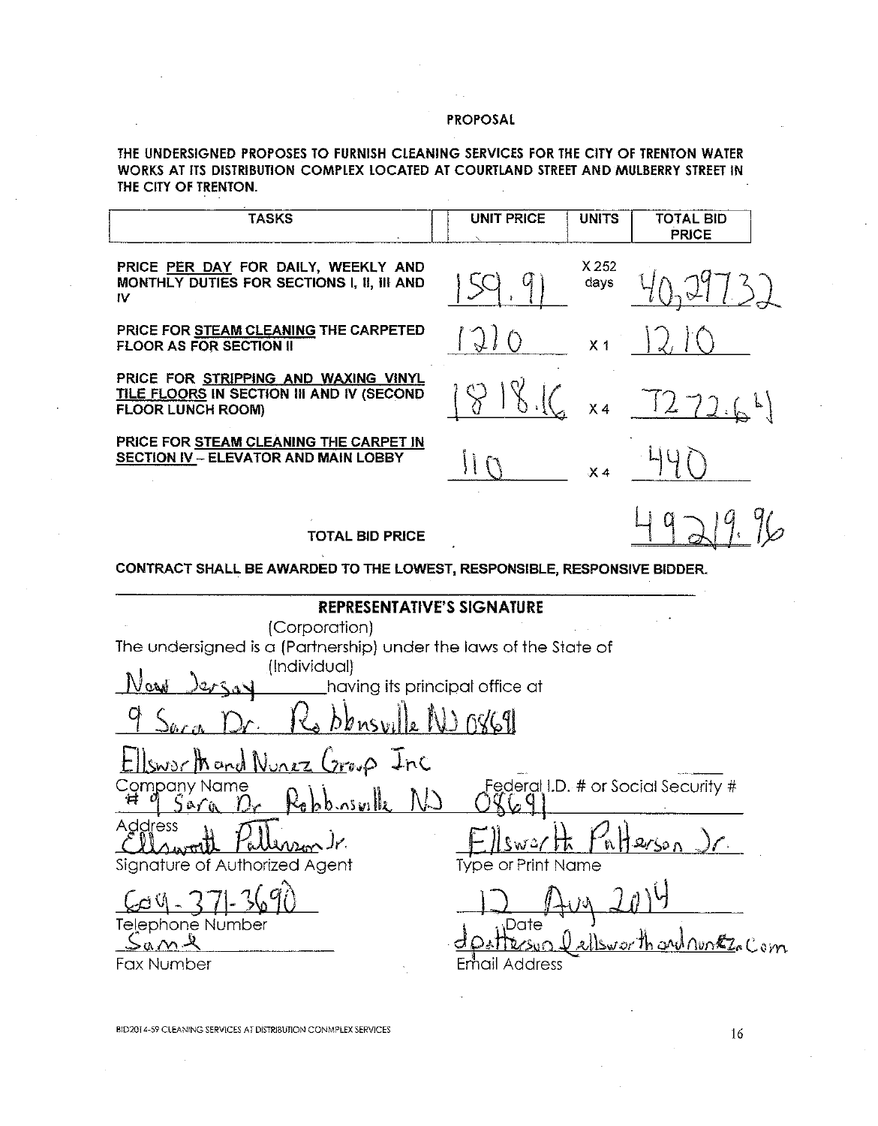THE UNDERSIGNED PROPOSES TO FURNISH CLEANING SERVICES FOR THE CITY OF TRENTON WATER WORKS AT ITS DISTRIBUTION COMPLEX LOCATED AT COURTLAND STREET AND MULBERRY STREET IN THE CITY OF TRENTON.

| <b>TASKS</b>                                                                                                                                                                                | <b>UNIT PRICE</b>            | <b>UNITS</b>   | <b>TOTAL BID</b><br><b>PRICE</b>               |
|---------------------------------------------------------------------------------------------------------------------------------------------------------------------------------------------|------------------------------|----------------|------------------------------------------------|
| PRICE PER DAY FOR DAILY, WEEKLY AND<br>MONTHLY DUTIES FOR SECTIONS I, II, III AND<br>IV                                                                                                     |                              | X 252<br>days  |                                                |
| PRICE FOR STEAM CLEANING THE CARPETED<br><b>FLOOR AS FOR SECTION II</b>                                                                                                                     | $\bigcirc$                   | X <sub>1</sub> |                                                |
| PRICE FOR STRIPPING AND WAXING VINYL<br>TILE FLOORS IN SECTION III AND IV (SECOND<br><b>FLOOR LUNCH ROOM)</b>                                                                               |                              | X <sub>4</sub> | $\frac{1}{2}$<br>72.64                         |
| PRICE FOR STEAM CLEANING THE CARPET IN<br><b>SECTION IV - ELEVATOR AND MAIN LOBBY</b>                                                                                                       | $\mathbf{H}$                 | X <sub>4</sub> |                                                |
| <b>TOTAL BID PRICE</b>                                                                                                                                                                      |                              |                |                                                |
| CONTRACT SHALL BE AWARDED TO THE LOWEST, RESPONSIBLE, RESPONSIVE BIDDER.                                                                                                                    |                              |                |                                                |
| <b>REPRESENTATIVE'S SIGNATURE</b><br>(Corporation)<br>The undersigned is a (Partnership) under the laws of the State of<br>(Individual)<br>Nard<br>having its principal office at<br>273.00 |                              |                |                                                |
| bbnsville NJ O8691                                                                                                                                                                          |                              |                |                                                |
| Sworthand Nunez Croup Inc<br>Company Name<br>Robbinsville NJ<br>≠<br>ร๊๕∕แ<br>Address<br>j i<br>Signature of Authorized Agent                                                               | $C_W2$<br>Type or Print Name |                | Federal I.D. # or Social Security #<br>hHerson |
| Telephone Number<br>$2a$ ml<br>Fax Number                                                                                                                                                   | <b>Date</b><br>Email Address |                | Sworth and nonthe Com                          |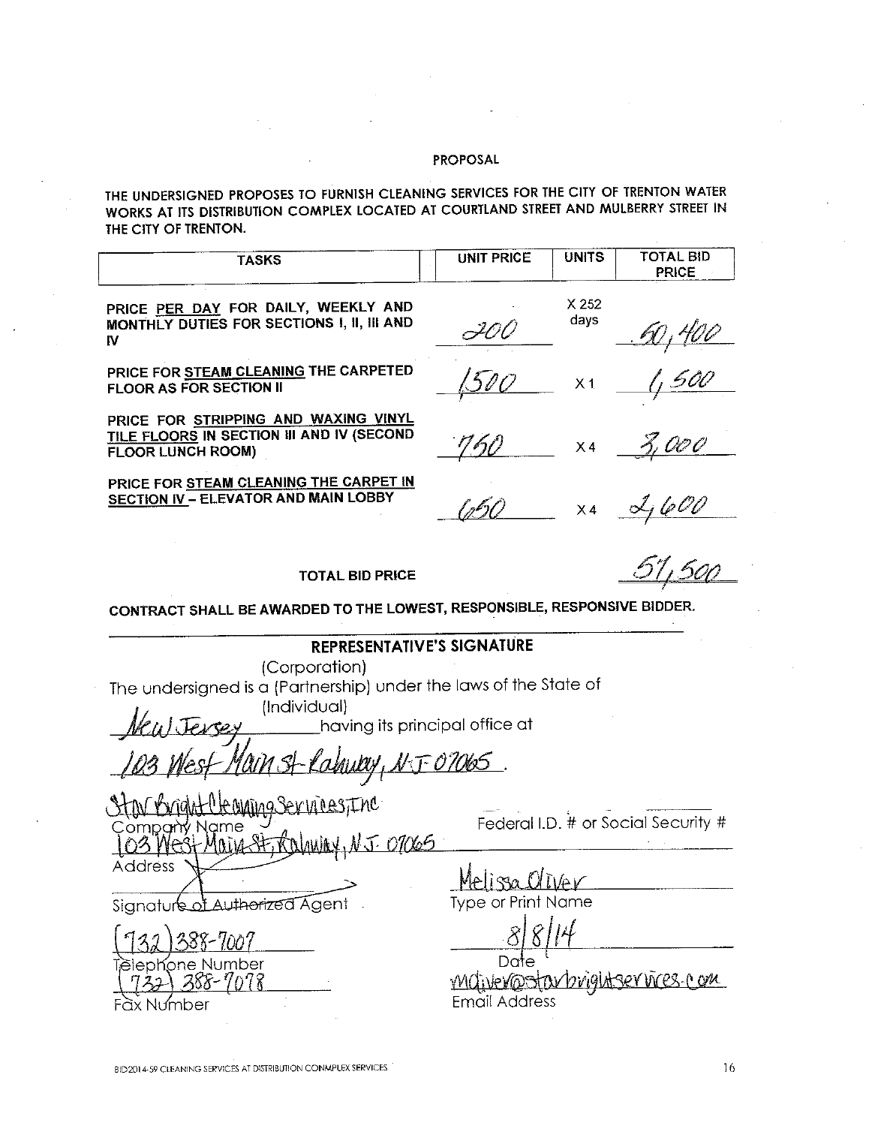THE UNDERSIGNED PROPOSES TO FURNISH CLEANING SERVICES FOR THE CITY OF TRENTON WATER WORKS AT ITS DISTRIBUTION COMPLEX LOCATED AT COURTLAND STREET AND MULBERRY STREET IN THE CITY OF TRENTON.

| <b>TASKS</b>                                                                                                                                                       | <b>UNIT PRICE</b> | <b>UNITS</b>             | <b>TOTAL BID</b><br><b>PRICE</b> |  |  |
|--------------------------------------------------------------------------------------------------------------------------------------------------------------------|-------------------|--------------------------|----------------------------------|--|--|
| PRICE PER DAY FOR DAILY, WEEKLY AND<br>MONTHLY DUTIES FOR SECTIONS I, II, III AND<br>IV                                                                            | I00               | X <sub>252</sub><br>days |                                  |  |  |
| PRICE FOR STEAM CLEANING THE CARPETED<br><b>FLOOR AS FOR SECTION II</b>                                                                                            |                   | X <sub>1</sub>           |                                  |  |  |
| PRICE FOR STRIPPING AND WAXING VINYL<br>TILE FLOORS IN SECTION III AND IV (SECOND<br><b>FLOOR LUNCH ROOM)</b>                                                      | 760               | X4                       |                                  |  |  |
| PRICE FOR STEAM CLEANING THE CARPET IN<br><b>SECTION IV - ELEVATOR AND MAIN LOBBY</b>                                                                              |                   |                          | x4 2,600                         |  |  |
| <b>TOTAL BID PRICE</b>                                                                                                                                             |                   |                          |                                  |  |  |
| CONTRACT SHALL BE AWARDED TO THE LOWEST, RESPONSIBLE, RESPONSIVE BIDDER.                                                                                           |                   |                          |                                  |  |  |
| REPRESENTATIVE'S SIGNATURE<br>(Corporation)<br>The undersigned is a (Partnership) under the laws of the State of<br>(Individual)<br>having its principal office at |                   |                          |                                  |  |  |
| MAIN SI Palayny, N.T.OTOB5                                                                                                                                         |                   |                          |                                  |  |  |

01065 Address

of Authorized Agent Signature

nber íone Nui x Number

Federal I.D. # or Social Security #

Type or Print Name

Michellostavbrightservices.com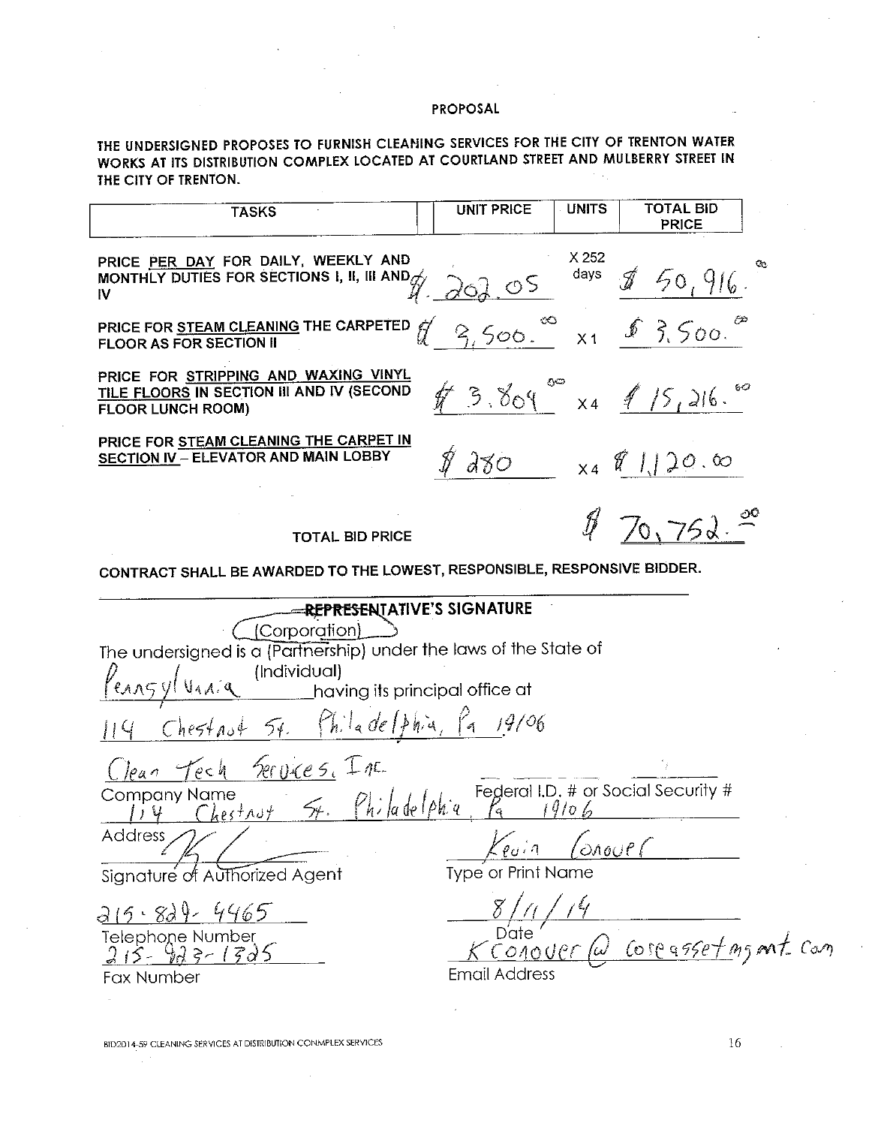THE UNDERSIGNED PROPOSES TO FURNISH CLEANING SERVICES FOR THE CITY OF TRENTON WATER WORKS AT ITS DISTRIBUTION COMPLEX LOCATED AT COURTLAND STREET AND MULBERRY STREET IN THE CITY OF TRENTON.

| <b>TASKS</b>                                                                                                      | <b>UNITS</b><br>TOTAL BID<br><b>UNIT PRICE</b><br><b>PRICE</b>        |
|-------------------------------------------------------------------------------------------------------------------|-----------------------------------------------------------------------|
| PRICE PER DAY FOR DAILY, WEEKLY AND<br>MONTHLY DUTIES FOR SECTIONS I, II, III AND $\mathscr{A}_\mathscr{I}$<br>IV | X 252<br>Q.<br>days<br>50,916.<br>20205                               |
| PRICE FOR STEAM CLEANING THE CARPETED<br><b>FLOOR AS FOR SECTION II</b>                                           | 8,500.<br>9,500.<br>X1                                                |
| PRICE FOR STRIPPING AND WAXING VINYL<br>TILE FLOORS IN SECTION III AND IV (SECOND<br><b>FLOOR LUNCH ROOM)</b>     | 50<br>$3.809 - x4$ 15, 216.                                           |
| PRICE FOR STEAM CLEANING THE CARPET IN<br>SECTION IV - ELEVATOR AND MAIN LOBBY                                    | $280$ x $\frac{1}{20}$ x                                              |
| <b>TOTAL BID PRICE</b>                                                                                            | 70,752                                                                |
| CONTRACT SHALL BE AWARDED TO THE LOWEST, RESPONSIBLE, RESPONSIVE BIDDER.                                          |                                                                       |
| <b>EREPRESENTATIVE'S SIGNATURE</b>                                                                                |                                                                       |
| (Corporation)                                                                                                     |                                                                       |
| The undersigned is a (Partnership) under the laws of the State of                                                 |                                                                       |
| (Individual)<br>having its principal office at                                                                    |                                                                       |
|                                                                                                                   |                                                                       |
| $Cheffast$ $f$ . Philade (phia, Pa 19106                                                                          |                                                                       |
| <u>Jean Tech Services</u> , Inc.                                                                                  |                                                                       |
| Company Name                                                                                                      | Name<br>Chestnut 54. Philadelphia Federal I.D. # or Social Security # |
| Address                                                                                                           | Kevin Conourr                                                         |
| Signature of Authorized Agent                                                                                     | Type or Print Name                                                    |
| 215.829.4465                                                                                                      |                                                                       |
|                                                                                                                   | Date by Connect Communication                                         |
| Telephone Number<br>$215 - 925 - 1525$                                                                            |                                                                       |
| Fax Number                                                                                                        | Email Address                                                         |
|                                                                                                                   |                                                                       |

 $\bar{\lambda}$